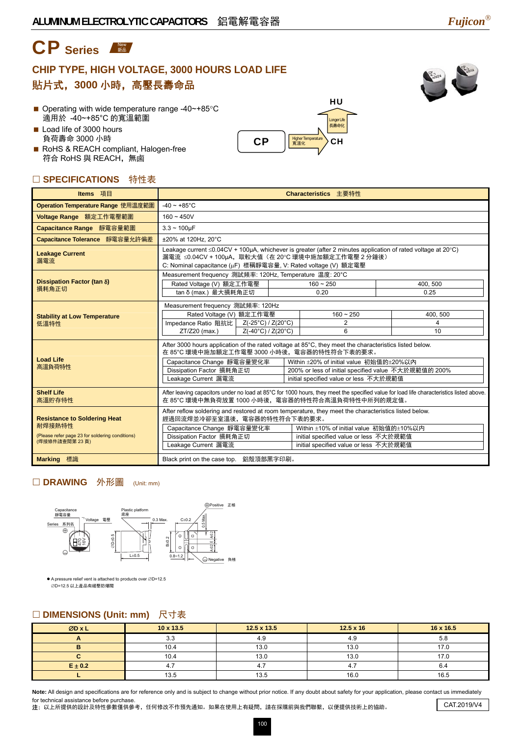# CP Series

### **CHIP TYPE, HIGH VOLTAGE, 3000 HOURS LOAD LIFE**  貼片式,**3000** 小時,高壓長壽命品



HU

Longer Life 長壽命化

 $\text{CP}$   $\left|\frac{\text{Higher Temperature}}{\text{R} \cdot \text{R} \cdot \text{R}}\right\rangle$  CH

- Operating with wide temperature range -40~+85°C 適用於 -40~+85°C 的寬溫範圍
- Load life of 3000 hours 負荷壽命 3000 小時
- RoHS & REACH compliant, Halogen-free 符合 RoHS 與 REACH,無鹵

#### □ SPECIFICATIONS 特性表

| Items 項目                                                                                                          | Characteristics 主要特性                                                                                                                                                                                                                                                                                                                                                                |  |                                   |  |                    |  |  |
|-------------------------------------------------------------------------------------------------------------------|-------------------------------------------------------------------------------------------------------------------------------------------------------------------------------------------------------------------------------------------------------------------------------------------------------------------------------------------------------------------------------------|--|-----------------------------------|--|--------------------|--|--|
| Operation Temperature Range 使用温度範圍                                                                                | $-40 \sim +85^{\circ}$ C                                                                                                                                                                                                                                                                                                                                                            |  |                                   |  |                    |  |  |
| Voltage Range 額定工作電壓範圍                                                                                            | $160 - 450V$                                                                                                                                                                                                                                                                                                                                                                        |  |                                   |  |                    |  |  |
| Capacitance Range 靜電容量範圍                                                                                          | $3.3 - 100 \mu F$                                                                                                                                                                                                                                                                                                                                                                   |  |                                   |  |                    |  |  |
| Capacitance Tolerance 靜電容量允許偏差                                                                                    | ±20% at 120Hz. 20°C                                                                                                                                                                                                                                                                                                                                                                 |  |                                   |  |                    |  |  |
| <b>Leakage Current</b><br>漏電流                                                                                     | Leakage current ≤0.04CV + 100µA, whichever is greater (after 2 minutes application of rated voltage at 20°C)<br>漏電流 ≤0.04CV + 100µA, 取較大值 (在 20℃ 環境中施加額定工作電壓 2 分鐘後)<br>C: Nominal capacitance (µF) 標稱靜電容量, V: Rated voltage (V) 額定電壓                                                                                                                                                |  |                                   |  |                    |  |  |
|                                                                                                                   | Measurement frequency 測試頻率: 120Hz, Temperature 温度: 20°C                                                                                                                                                                                                                                                                                                                             |  |                                   |  |                    |  |  |
| Dissipation Factor (tan δ)<br>損耗角正切                                                                               | Rated Voltage (V) 額定工作電壓                                                                                                                                                                                                                                                                                                                                                            |  | $160 - 250$                       |  | 400.500            |  |  |
|                                                                                                                   | tan δ (max.) 最大損耗角正切                                                                                                                                                                                                                                                                                                                                                                |  | 0.20                              |  | 0.25               |  |  |
| <b>Stability at Low Temperature</b><br>低溫特性                                                                       | Measurement frequency 測試頻率: 120Hz<br>Rated Voltage (V) 額定工作電壓<br>Impedance Ratio 阻抗比   Z(-25°C) / Z(20°C)<br>ZT/Z20 (max.)<br>Z(-40°C) / Z(20°C)                                                                                                                                                                                                                                    |  | $160 - 250$<br>$\mathcal{P}$<br>6 |  | 400.500<br>4<br>10 |  |  |
| <b>Load Life</b><br>高溫負荷特性                                                                                        | After 3000 hours application of the rated voltage at 85°C, they meet the characteristics listed below.<br>在 85°C 環境中施加額定工作電壓 3000 小時後, 電容器的特性符合下表的要求。<br>Capacitance Change 靜電容量變化率<br>Within ±20% of initial value 初始值的±20%以內<br>Dissipation Factor 損耗角正切<br>200% or less of initial specified value 不大於規範值的 200%<br>Leakage Current 漏電流<br>initial specified value or less 不大於規範值 |  |                                   |  |                    |  |  |
| <b>Shelf Life</b><br>高溫貯存特性                                                                                       | After leaving capacitors under no load at 85°C for 1000 hours, they meet the specified value for load life characteristics listed above.<br>在 85°C 環境中無負荷放置 1000 小時後, 電容器的特性符合高溫負荷特性中所列的規定值。                                                                                                                                                                                        |  |                                   |  |                    |  |  |
| <b>Resistance to Soldering Heat</b><br>耐焊接熱特性<br>(Please refer page 23 for soldering conditions)<br>(焊接條件請查閱第23頁) | After reflow soldering and restored at room temperature, they meet the characteristics listed below.<br>經過回流焊並冷卻至室溫後,電容器的特性符合下表的要求。<br>Within ±10% of initial value 初始值的±10%以内<br>Capacitance Change 靜電容量變化率<br>Dissipation Factor 損耗角正切<br>initial specified value or less 不大於規範值<br>Leakage Current 漏電流<br>initial specified value or less 不大於規範值                                 |  |                                   |  |                    |  |  |
| <b>Marking 標識</b>                                                                                                 | Black print on the case top. 鋁殼頂部黑字印刷。                                                                                                                                                                                                                                                                                                                                              |  |                                   |  |                    |  |  |

#### □ DRAWING 外形圖 (Unit: mm)



● A pressure relief vent is attached to products over ØD=12.5 ∅D=12.5 以上產品有緩壓防爆閥

### □ DIMENSIONS (Unit: mm) 尺寸表

| ØD x L      | $10 \times 13.5$ | $12.5 \times 13.5$ | $12.5 \times 16$ | 16 x 16.5 |
|-------------|------------------|--------------------|------------------|-----------|
|             | າ າ<br>ს.ს       | $\Lambda$ $\Omega$ | 4.9              | 5.8       |
|             | 10.4             | 13.0               | 13.0             | 17.0      |
|             | 10.4             | 13.0               | 13.0             | 17.0      |
| $E \pm 0.2$ | ч.               |                    |                  | O.4       |
|             | 13.5             | 13.5               | 16.0             | 16.5      |

Note: All design and specifications are for reference only and is subject to change without prior notice. If any doubt about safety for your application, please contact us immediately for technical assistance before purchase.

注: 以上所提供的設計及特性參數僅供參考,任何修改不作預先通知。如果在使用上有疑問,請在採購前與我們聯繫,以便提供技術上的協助。 CAT.2019/V4